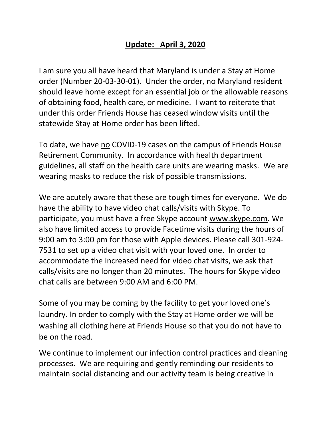## **Update: April 3, 2020**

I am sure you all have heard that Maryland is under a Stay at Home order (Number 20-03-30-01). Under the order, no Maryland resident should leave home except for an essential job or the allowable reasons of obtaining food, health care, or medicine. I want to reiterate that under this order Friends House has ceased window visits until the statewide Stay at Home order has been lifted.

To date, we have no COVID-19 cases on the campus of Friends House Retirement Community. In accordance with health department guidelines, all staff on the health care units are wearing masks. We are wearing masks to reduce the risk of possible transmissions.

We are acutely aware that these are tough times for everyone. We do have the ability to have video chat calls/visits with Skype. To participate, you must have a free Skype account [www.skype.com.](http://www.skype.com/) We also have limited access to provide Facetime visits during the hours of 9:00 am to 3:00 pm for those with Apple devices. Please call 301-924- 7531 to set up a video chat visit with your loved one. In order to accommodate the increased need for video chat visits, we ask that calls/visits are no longer than 20 minutes. The hours for Skype video chat calls are between 9:00 AM and 6:00 PM.

Some of you may be coming by the facility to get your loved one's laundry. In order to comply with the Stay at Home order we will be washing all clothing here at Friends House so that you do not have to be on the road.

We continue to implement our infection control practices and cleaning processes. We are requiring and gently reminding our residents to maintain social distancing and our activity team is being creative in